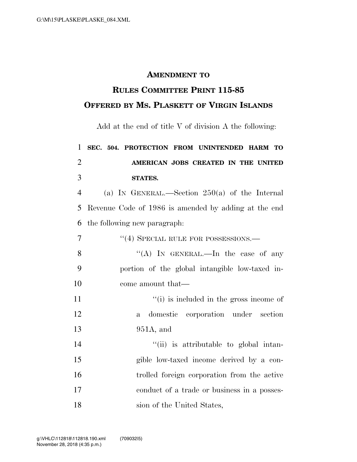## **AMENDMENT TO**

## **RULES COMMITTEE PRINT 115-85 OFFERED BY MS. PLASKETT OF VIRGIN ISLANDS**

Add at the end of title V of division A the following:

## **SEC. 504. PROTECTION FROM UNINTENDED HARM TO AMERICAN JOBS CREATED IN THE UNITED STATES.**

 (a) IN GENERAL.—Section 250(a) of the Internal Revenue Code of 1986 is amended by adding at the end the following new paragraph:

| $\overline{7}$ | "(4) SPECIAL RULE FOR POSSESSIONS.—            |
|----------------|------------------------------------------------|
| 8              | "(A) IN GENERAL.—In the case of any            |
| 9              | portion of the global intangible low-taxed in- |
| 10             | come amount that—                              |
| 11             | "(i) is included in the gross income of        |
| 12             | a domestic corporation under section           |
| 13             | $951A$ , and                                   |
| 14             | "(ii) is attributable to global intan-         |
| 15             | gible low-taxed income derived by a con-       |
| 16             | trolled foreign corporation from the active    |
| 17             | conduct of a trade or business in a posses-    |
| 18             | sion of the United States,                     |